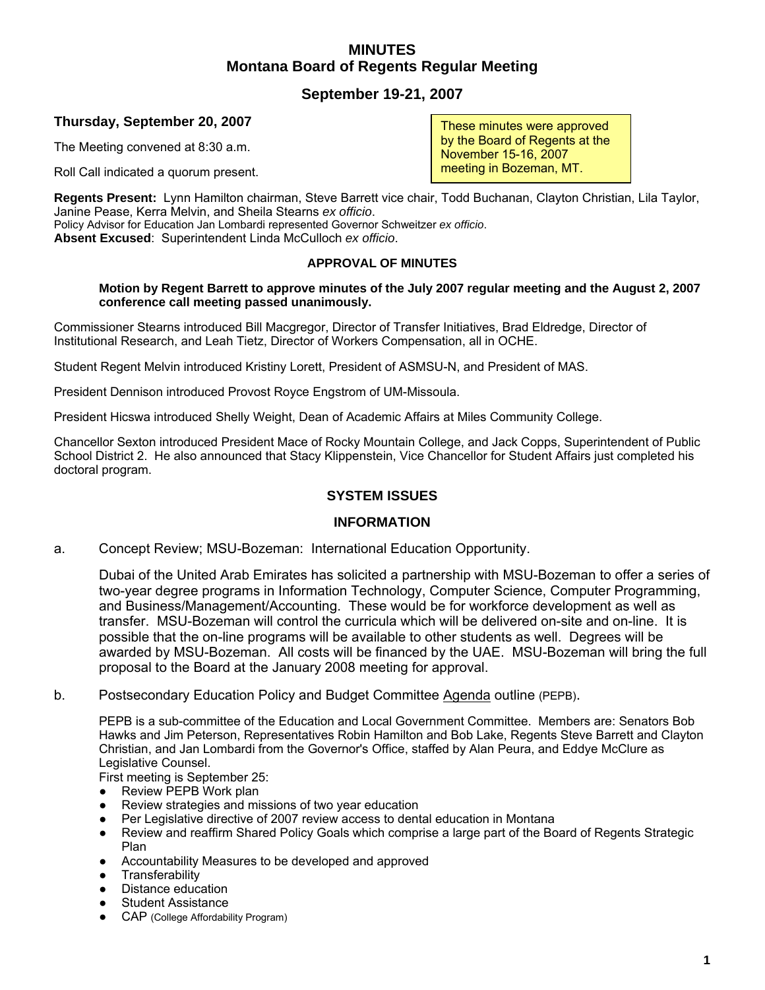# **MINUTES Montana Board of Regents Regular Meeting**

# **September 19-21, 2007**

# **Thursday, September 20, 2007**

The Meeting convened at 8:30 a.m.

Roll Call indicated a quorum present.

**Regents Present:** Lynn Hamilton chairman, Steve Barrett vice chair, Todd Buchanan, Clayton Christian, Lila Taylor, Janine Pease, Kerra Melvin, and Sheila Stearns *ex officio*. Policy Advisor for Education Jan Lombardi represented Governor Schweitzer *ex officio*.

**Absent Excused**: Superintendent Linda McCulloch *ex officio*.

## **APPROVAL OF MINUTES**

#### **Motion by Regent Barrett to approve minutes of the July 2007 regular meeting and the August 2, 2007 conference call meeting passed unanimously.**

Commissioner Stearns introduced Bill Macgregor, Director of Transfer Initiatives, Brad Eldredge, Director of Institutional Research, and Leah Tietz, Director of Workers Compensation, all in OCHE.

Student Regent Melvin introduced Kristiny Lorett, President of ASMSU-N, and President of MAS.

President Dennison introduced Provost Royce Engstrom of UM-Missoula.

President Hicswa introduced Shelly Weight, Dean of Academic Affairs at Miles Community College.

Chancellor Sexton introduced President Mace of Rocky Mountain College, and Jack Copps, Superintendent of Public School District 2. He also announced that Stacy Klippenstein, Vice Chancellor for Student Affairs just completed his doctoral program.

# **SYSTEM ISSUES**

## **INFORMATION**

a. Concept Review; MSU-Bozeman: International Education Opportunity.

Dubai of the United Arab Emirates has solicited a partnership with MSU-Bozeman to offer a series of two-year degree programs in Information Technology, Computer Science, Computer Programming, and Business/Management/Accounting. These would be for workforce development as well as transfer. MSU-Bozeman will control the curricula which will be delivered on-site and on-line. It is possible that the on-line programs will be available to other students as well. Degrees will be awarded by MSU-Bozeman. All costs will be financed by the UAE. MSU-Bozeman will bring the full proposal to the Board at the January 2008 meeting for approval.

b. Postsecondary Education Policy and Budget Committee Agenda outline (PEPB).

PEPB is a sub-committee of the Education and Local Government Committee. Members are: Senators Bob Hawks and Jim Peterson, Representatives Robin Hamilton and Bob Lake, Regents Steve Barrett and Clayton Christian, and Jan Lombardi from the Governor's Office, staffed by Alan Peura, and Eddye McClure as Legislative Counsel.

First meeting is September 25:

- Review PEPB Work plan
- Review strategies and missions of two year education
- Per Legislative directive of 2007 review access to dental education in Montana
- Review and reaffirm Shared Policy Goals which comprise a large part of the Board of Regents Strategic Plan
- Accountability Measures to be developed and approved
- **Transferability**
- Distance education
- **Student Assistance**
- CAP (College Affordability Program)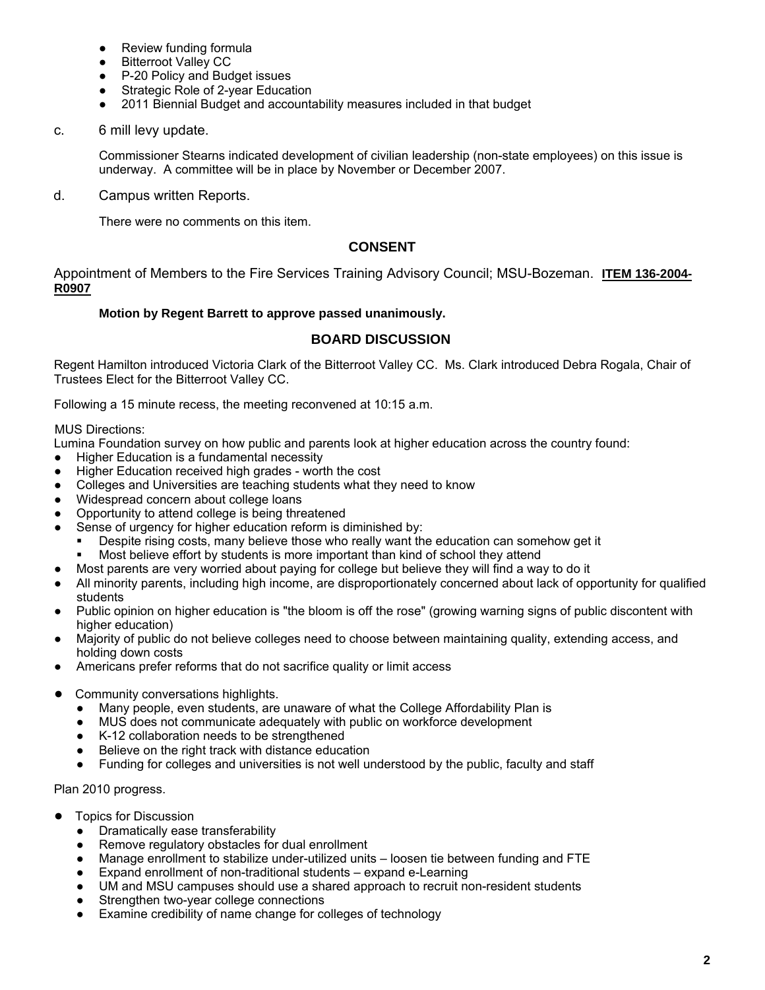- Review funding formula
- **Bitterroot Valley CC**
- P-20 Policy and Budget issues
- Strategic Role of 2-year Education
- 2011 Biennial Budget and accountability measures included in that budget

## c. 6 mill levy update.

Commissioner Stearns indicated development of civilian leadership (non-state employees) on this issue is underway. A committee will be in place by November or December 2007.

d. Campus written Reports.

There were no comments on this item.

# **CONSENT**

Appointment of Members to the Fire Services Training Advisory Council; MSU-Bozeman. **ITEM 136-2004- R0907**

## **Motion by Regent Barrett to approve passed unanimously.**

## **BOARD DISCUSSION**

Regent Hamilton introduced Victoria Clark of the Bitterroot Valley CC. Ms. Clark introduced Debra Rogala, Chair of Trustees Elect for the Bitterroot Valley CC.

Following a 15 minute recess, the meeting reconvened at 10:15 a.m.

MUS Directions:

Lumina Foundation survey on how public and parents look at higher education across the country found:

- Higher Education is a fundamental necessity
- Higher Education received high grades worth the cost
- Colleges and Universities are teaching students what they need to know
- Widespread concern about college loans
- Opportunity to attend college is being threatened
- Sense of urgency for higher education reform is diminished by:
	- Despite rising costs, many believe those who really want the education can somehow get it
	- Most believe effort by students is more important than kind of school they attend
- Most parents are very worried about paying for college but believe they will find a way to do it
- All minority parents, including high income, are disproportionately concerned about lack of opportunity for qualified students
- Public opinion on higher education is "the bloom is off the rose" (growing warning signs of public discontent with higher education)
- Majority of public do not believe colleges need to choose between maintaining quality, extending access, and holding down costs
- Americans prefer reforms that do not sacrifice quality or limit access
- Community conversations highlights.
	- Many people, even students, are unaware of what the College Affordability Plan is
	- MUS does not communicate adequately with public on workforce development
	- K-12 collaboration needs to be strengthened
	- Believe on the right track with distance education
	- Funding for colleges and universities is not well understood by the public, faculty and staff

Plan 2010 progress.

- **Topics for Discussion** 
	- Dramatically ease transferability
	- Remove regulatory obstacles for dual enrollment
	- Manage enrollment to stabilize under-utilized units loosen tie between funding and FTE
	- Expand enrollment of non-traditional students expand e-Learning
	- UM and MSU campuses should use a shared approach to recruit non-resident students
	- Strengthen two-year college connections
	- Examine credibility of name change for colleges of technology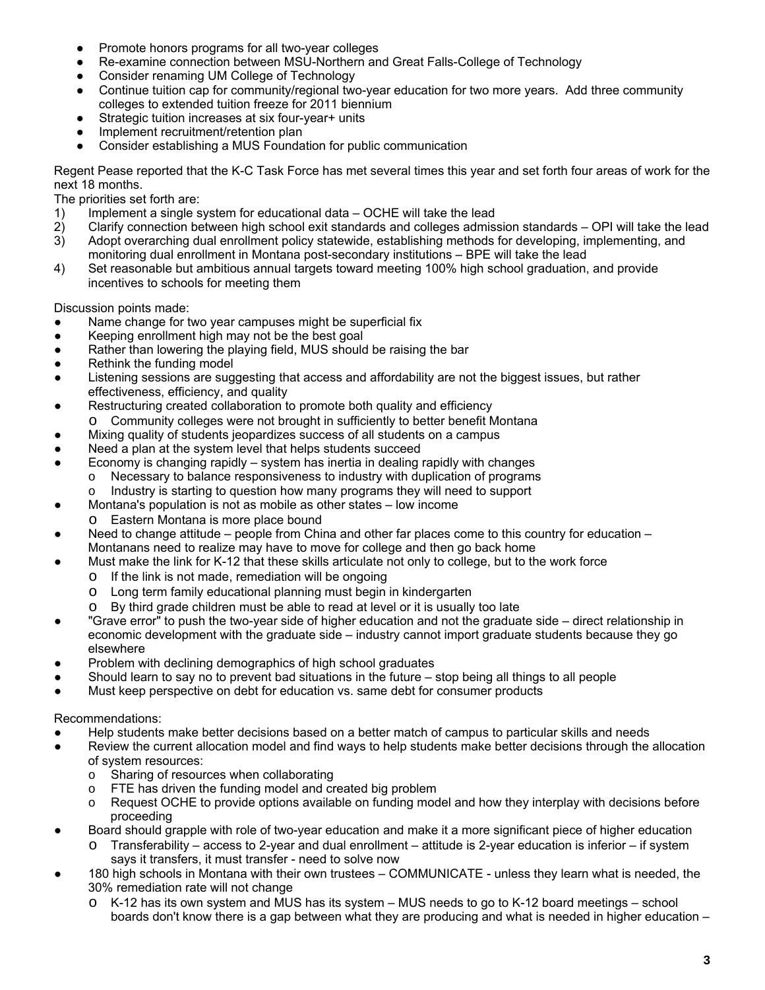- Promote honors programs for all two-year colleges
- Re-examine connection between MSU-Northern and Great Falls-College of Technology
- Consider renaming UM College of Technology
- Continue tuition cap for community/regional two-year education for two more years. Add three community colleges to extended tuition freeze for 2011 biennium
- Strategic tuition increases at six four-year+ units
- Implement recruitment/retention plan
- Consider establishing a MUS Foundation for public communication

Regent Pease reported that the K-C Task Force has met several times this year and set forth four areas of work for the next 18 months.

The priorities set forth are:

- 1) Implement a single system for educational data OCHE will take the lead
- 2) Clarify connection between high school exit standards and colleges admission standards OPI will take the lead
- 3) Adopt overarching dual enrollment policy statewide, establishing methods for developing, implementing, and monitoring dual enrollment in Montana post-secondary institutions – BPE will take the lead
- 4) Set reasonable but ambitious annual targets toward meeting 100% high school graduation, and provide incentives to schools for meeting them

Discussion points made:

- Name change for two year campuses might be superficial fix
- Keeping enrollment high may not be the best goal
- Rather than lowering the playing field, MUS should be raising the bar
- Rethink the funding model
- Listening sessions are suggesting that access and affordability are not the biggest issues, but rather effectiveness, efficiency, and quality
- Restructuring created collaboration to promote both quality and efficiency
	- Community colleges were not brought in sufficiently to better benefit Montana
- Mixing quality of students jeopardizes success of all students on a campus
- Need a plan at the system level that helps students succeed
- Economy is changing rapidly  $-$  system has inertia in dealing rapidly with changes
	- $\circ$  Necessary to balance responsiveness to industry with duplication of programs
	- $\circ$  Industry is starting to question how many programs they will need to support
- Montana's population is not as mobile as other states low income
	- o Eastern Montana is more place bound
- Need to change attitude people from China and other far places come to this country for education Montanans need to realize may have to move for college and then go back home
- Must make the link for K-12 that these skills articulate not only to college, but to the work force
	- o If the link is not made, remediation will be ongoing
	- o Long term family educational planning must begin in kindergarten
	- o By third grade children must be able to read at level or it is usually too late
- "Grave error" to push the two-year side of higher education and not the graduate side direct relationship in economic development with the graduate side – industry cannot import graduate students because they go elsewhere
- Problem with declining demographics of high school graduates
- Should learn to say no to prevent bad situations in the future  $-$  stop being all things to all people
- Must keep perspective on debt for education vs. same debt for consumer products

Recommendations:

- Help students make better decisions based on a better match of campus to particular skills and needs
- Review the current allocation model and find ways to help students make better decisions through the allocation of system resources:
	- o Sharing of resources when collaborating
	- o FTE has driven the funding model and created big problem
	- o Request OCHE to provide options available on funding model and how they interplay with decisions before proceeding
- Board should grapple with role of two-year education and make it a more significant piece of higher education
	- o Transferability access to 2-year and dual enrollment attitude is 2-year education is inferior if system says it transfers, it must transfer - need to solve now
- 180 high schools in Montana with their own trustees COMMUNICATE unless they learn what is needed, the 30% remediation rate will not change
	- o K-12 has its own system and MUS has its system MUS needs to go to K-12 board meetings school boards don't know there is a gap between what they are producing and what is needed in higher education –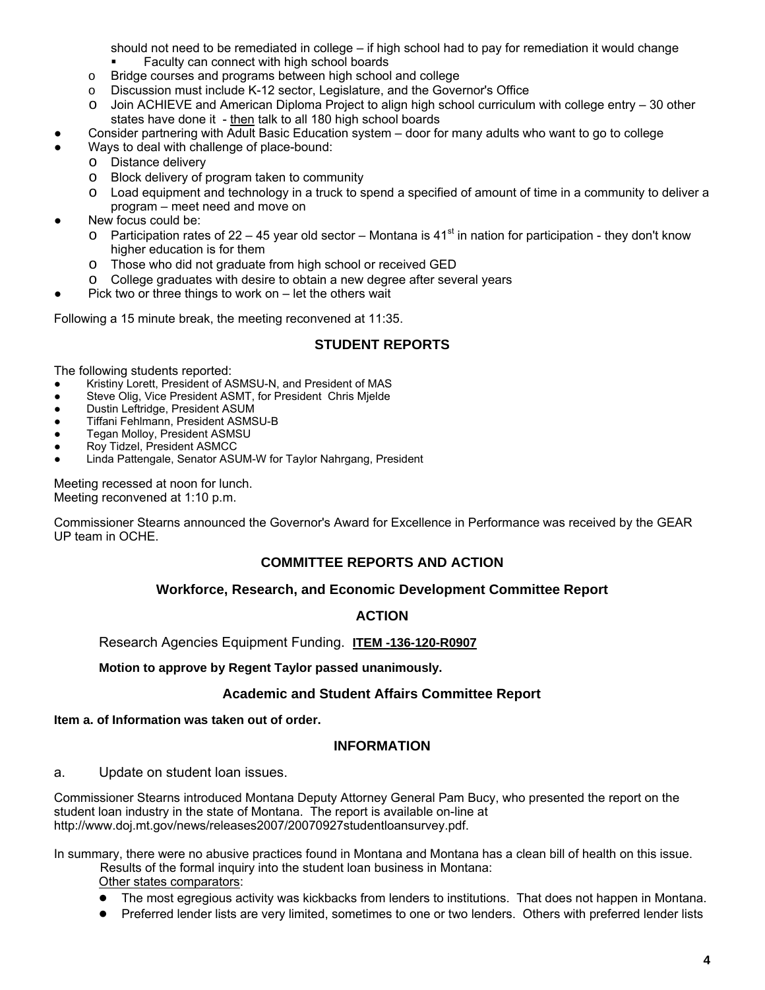should not need to be remediated in college – if high school had to pay for remediation it would change Faculty can connect with high school boards

- o Bridge courses and programs between high school and college
- o Discussion must include K-12 sector, Legislature, and the Governor's Office
- o Join ACHIEVE and American Diploma Project to align high school curriculum with college entry 30 other states have done it - then talk to all 180 high school boards
- Consider partnering with Adult Basic Education system door for many adults who want to go to college
- Ways to deal with challenge of place-bound:
	- o Distance delivery
	- o Block delivery of program taken to community
	- o Load equipment and technology in a truck to spend a specified of amount of time in a community to deliver a program – meet need and move on
- New focus could be:
	- o Participation rates of 22 45 year old sector Montana is 41<sup>st</sup> in nation for participation they don't know higher education is for them
	- o Those who did not graduate from high school or received GED
	- o College graduates with desire to obtain a new degree after several years
- Pick two or three things to work on  $-$  let the others wait

Following a 15 minute break, the meeting reconvened at 11:35.

## **STUDENT REPORTS**

The following students reported:

- Kristiny Lorett, President of ASMSU-N, and President of MAS
- Steve Olig, Vice President ASMT, for President Chris Mjelde
- Dustin Leftridge, President ASUM
- Tiffani Fehlmann, President ASMSU-B
- Tegan Molloy, President ASMSU
- Roy Tidzel, President ASMCC
- Linda Pattengale, Senator ASUM-W for Taylor Nahrgang, President

Meeting recessed at noon for lunch. Meeting reconvened at 1:10 p.m.

Commissioner Stearns announced the Governor's Award for Excellence in Performance was received by the GEAR UP team in OCHE.

# **COMMITTEE REPORTS AND ACTION**

## **Workforce, Research, and Economic Development Committee Report**

## **ACTION**

Research Agencies Equipment Funding. **ITEM -136-120-R0907**

**Motion to approve by Regent Taylor passed unanimously.** 

## **Academic and Student Affairs Committee Report**

## **Item a. of Information was taken out of order.**

## **INFORMATION**

a. Update on student loan issues.

Commissioner Stearns introduced Montana Deputy Attorney General Pam Bucy, who presented the report on the student loan industry in the state of Montana. The report is available on-line at http://www.doj.mt.gov/news/releases2007/20070927studentloansurvey.pdf.

In summary, there were no abusive practices found in Montana and Montana has a clean bill of health on this issue. Results of the formal inquiry into the student loan business in Montana:

- Other states comparators:
- The most egregious activity was kickbacks from lenders to institutions. That does not happen in Montana.
- Preferred lender lists are very limited, sometimes to one or two lenders. Others with preferred lender lists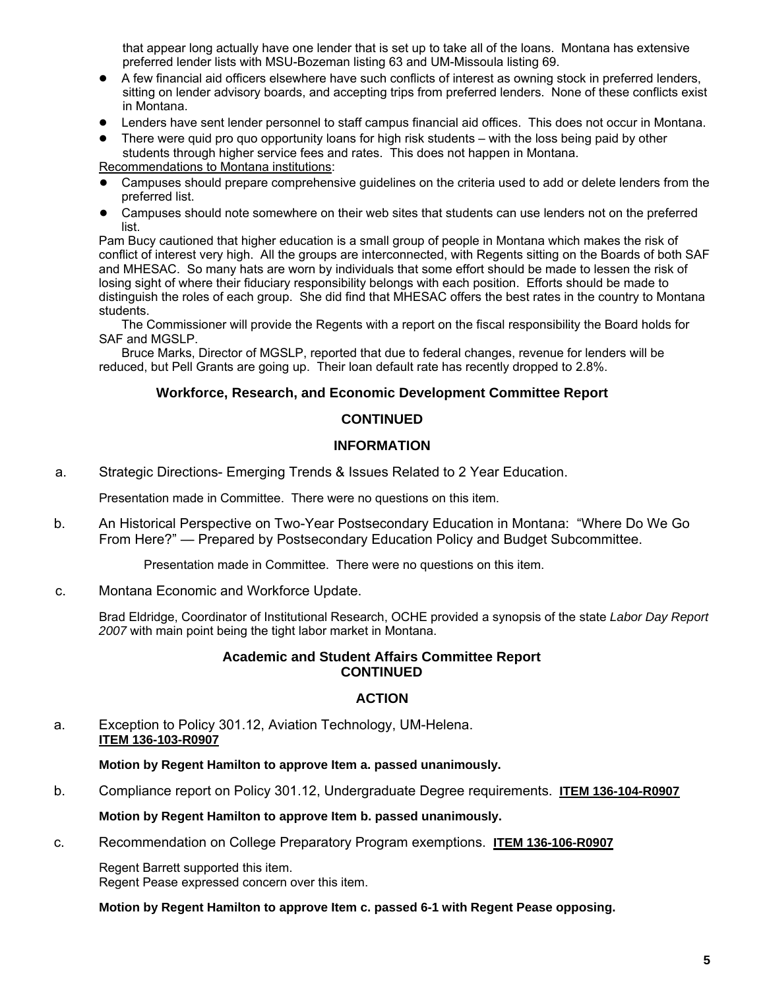that appear long actually have one lender that is set up to take all of the loans. Montana has extensive preferred lender lists with MSU-Bozeman listing 63 and UM-Missoula listing 69.

- A few financial aid officers elsewhere have such conflicts of interest as owning stock in preferred lenders, sitting on lender advisory boards, and accepting trips from preferred lenders. None of these conflicts exist in Montana.
- Lenders have sent lender personnel to staff campus financial aid offices. This does not occur in Montana.
- There were quid pro quo opportunity loans for high risk students with the loss being paid by other students through higher service fees and rates. This does not happen in Montana.

Recommendations to Montana institutions:

- Campuses should prepare comprehensive guidelines on the criteria used to add or delete lenders from the preferred list.
- Campuses should note somewhere on their web sites that students can use lenders not on the preferred list.

Pam Bucy cautioned that higher education is a small group of people in Montana which makes the risk of conflict of interest very high. All the groups are interconnected, with Regents sitting on the Boards of both SAF and MHESAC. So many hats are worn by individuals that some effort should be made to lessen the risk of losing sight of where their fiduciary responsibility belongs with each position. Efforts should be made to distinguish the roles of each group. She did find that MHESAC offers the best rates in the country to Montana students.

The Commissioner will provide the Regents with a report on the fiscal responsibility the Board holds for SAF and MGSLP.

Bruce Marks, Director of MGSLP, reported that due to federal changes, revenue for lenders will be reduced, but Pell Grants are going up. Their loan default rate has recently dropped to 2.8%.

## **Workforce, Research, and Economic Development Committee Report**

## **CONTINUED**

## **INFORMATION**

a. Strategic Directions- Emerging Trends & Issues Related to 2 Year Education.

Presentation made in Committee. There were no questions on this item.

b. An Historical Perspective on Two-Year Postsecondary Education in Montana: "Where Do We Go From Here?" — Prepared by Postsecondary Education Policy and Budget Subcommittee.

Presentation made in Committee. There were no questions on this item.

## c. Montana Economic and Workforce Update.

Brad Eldridge, Coordinator of Institutional Research, OCHE provided a synopsis of the state *Labor Day Report 2007* with main point being the tight labor market in Montana.

## **Academic and Student Affairs Committee Report CONTINUED**

## **ACTION**

## a. Exception to Policy 301.12, Aviation Technology, UM-Helena. **ITEM 136-103-R0907**

**Motion by Regent Hamilton to approve Item a. passed unanimously.** 

b. Compliance report on Policy 301.12, Undergraduate Degree requirements. **ITEM 136-104-R0907**

**Motion by Regent Hamilton to approve Item b. passed unanimously.** 

c. Recommendation on College Preparatory Program exemptions. **ITEM 136-106-R0907**

Regent Barrett supported this item. Regent Pease expressed concern over this item.

**Motion by Regent Hamilton to approve Item c. passed 6-1 with Regent Pease opposing.**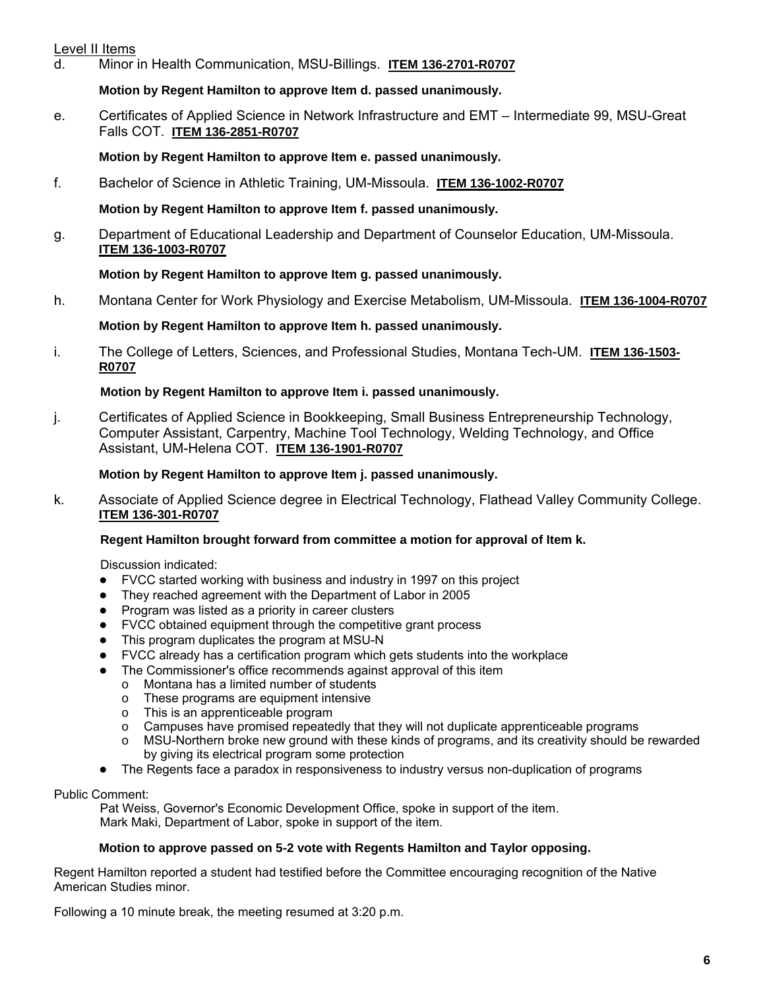# Level II Items

d. Minor in Health Communication, MSU-Billings. **ITEM 136-2701-R0707**

# **Motion by Regent Hamilton to approve Item d. passed unanimously.**

e. Certificates of Applied Science in Network Infrastructure and EMT – Intermediate 99, MSU-Great Falls COT. **ITEM 136-2851-R0707**

**Motion by Regent Hamilton to approve Item e. passed unanimously.** 

f. Bachelor of Science in Athletic Training, UM-Missoula. **ITEM 136-1002-R0707**

**Motion by Regent Hamilton to approve Item f. passed unanimously.** 

g. Department of Educational Leadership and Department of Counselor Education, UM-Missoula. **ITEM 136-1003-R0707**

# **Motion by Regent Hamilton to approve Item g. passed unanimously.**

h. Montana Center for Work Physiology and Exercise Metabolism, UM-Missoula. **ITEM 136-1004-R0707**

# **Motion by Regent Hamilton to approve Item h. passed unanimously.**

i. The College of Letters, Sciences, and Professional Studies, Montana Tech-UM. **ITEM 136-1503- R0707**

# **Motion by Regent Hamilton to approve Item i. passed unanimously.**

j. Certificates of Applied Science in Bookkeeping, Small Business Entrepreneurship Technology, Computer Assistant, Carpentry, Machine Tool Technology, Welding Technology, and Office Assistant, UM-Helena COT. **ITEM 136-1901-R0707**

# **Motion by Regent Hamilton to approve Item j. passed unanimously.**

k. Associate of Applied Science degree in Electrical Technology, Flathead Valley Community College. **ITEM 136-301-R0707**

# **Regent Hamilton brought forward from committee a motion for approval of Item k.**

Discussion indicated:

- FVCC started working with business and industry in 1997 on this project
- They reached agreement with the Department of Labor in 2005
- Program was listed as a priority in career clusters
- FVCC obtained equipment through the competitive grant process
- This program duplicates the program at MSU-N
- FVCC already has a certification program which gets students into the workplace
- The Commissioner's office recommends against approval of this item
	- o Montana has a limited number of students
	- o These programs are equipment intensive
	- o This is an apprenticeable program
	- $\circ$  Campuses have promised repeatedly that they will not duplicate apprenticeable programs
	- o MSU-Northern broke new ground with these kinds of programs, and its creativity should be rewarded by giving its electrical program some protection
- The Regents face a paradox in responsiveness to industry versus non-duplication of programs

Public Comment:

Pat Weiss, Governor's Economic Development Office, spoke in support of the item. Mark Maki, Department of Labor, spoke in support of the item.

# **Motion to approve passed on 5-2 vote with Regents Hamilton and Taylor opposing.**

Regent Hamilton reported a student had testified before the Committee encouraging recognition of the Native American Studies minor.

Following a 10 minute break, the meeting resumed at 3:20 p.m.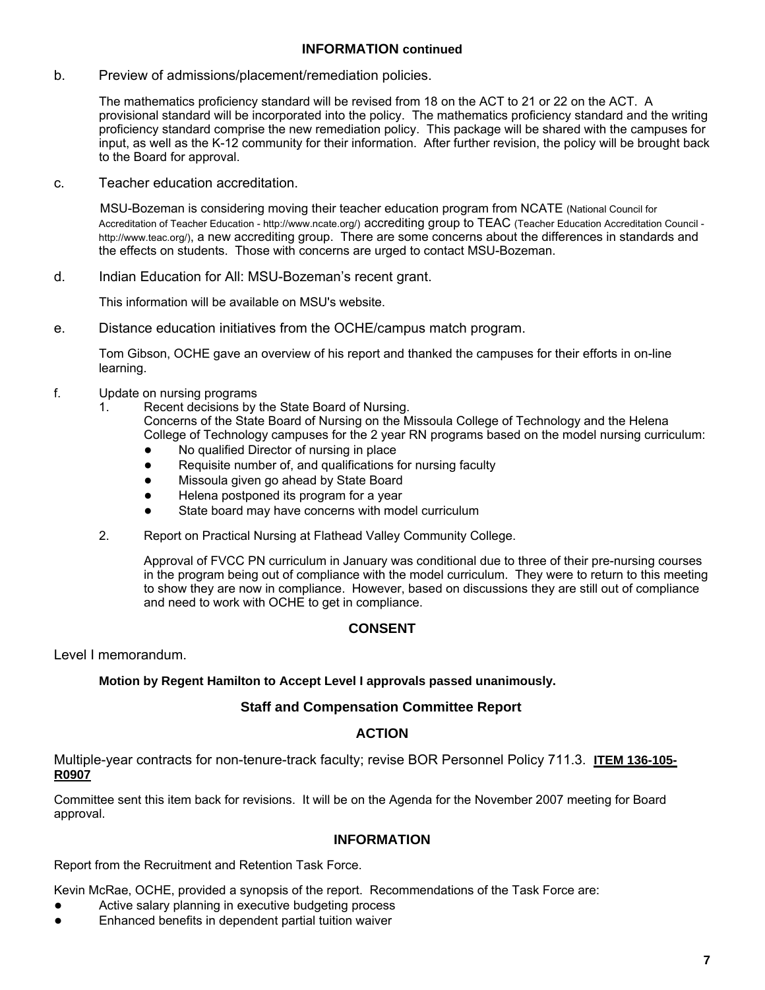## **INFORMATION continued**

b. Preview of admissions/placement/remediation policies.

The mathematics proficiency standard will be revised from 18 on the ACT to 21 or 22 on the ACT. A provisional standard will be incorporated into the policy. The mathematics proficiency standard and the writing proficiency standard comprise the new remediation policy. This package will be shared with the campuses for input, as well as the K-12 community for their information. After further revision, the policy will be brought back to the Board for approval.

c. Teacher education accreditation.

MSU-Bozeman is considering moving their teacher education program from NCATE (National Council for Accreditation of Teacher Education - http://www.ncate.org/) accrediting group to TEAC (Teacher Education Accreditation Council http://www.teac.org/), a new accrediting group. There are some concerns about the differences in standards and the effects on students. Those with concerns are urged to contact MSU-Bozeman.

d. Indian Education for All: MSU-Bozeman's recent grant.

This information will be available on MSU's website.

e. Distance education initiatives from the OCHE/campus match program.

Tom Gibson, OCHE gave an overview of his report and thanked the campuses for their efforts in on-line learning.

- f. Update on nursing programs
	- 1. Recent decisions by the State Board of Nursing. Concerns of the State Board of Nursing on the Missoula College of Technology and the Helena

College of Technology campuses for the 2 year RN programs based on the model nursing curriculum: No qualified Director of nursing in place

- 
- Requisite number of, and qualifications for nursing faculty
- Missoula given go ahead by State Board
- Helena postponed its program for a year
- State board may have concerns with model curriculum
- 2. Report on Practical Nursing at Flathead Valley Community College.

Approval of FVCC PN curriculum in January was conditional due to three of their pre-nursing courses in the program being out of compliance with the model curriculum. They were to return to this meeting to show they are now in compliance. However, based on discussions they are still out of compliance and need to work with OCHE to get in compliance.

## **CONSENT**

Level I memorandum.

## **Motion by Regent Hamilton to Accept Level I approvals passed unanimously.**

## **Staff and Compensation Committee Report**

## **ACTION**

Multiple-year contracts for non-tenure-track faculty; revise BOR Personnel Policy 711.3. **ITEM 136-105- R0907**

Committee sent this item back for revisions. It will be on the Agenda for the November 2007 meeting for Board approval.

## **INFORMATION**

Report from the Recruitment and Retention Task Force.

Kevin McRae, OCHE, provided a synopsis of the report. Recommendations of the Task Force are:

- Active salary planning in executive budgeting process
- Enhanced benefits in dependent partial tuition waiver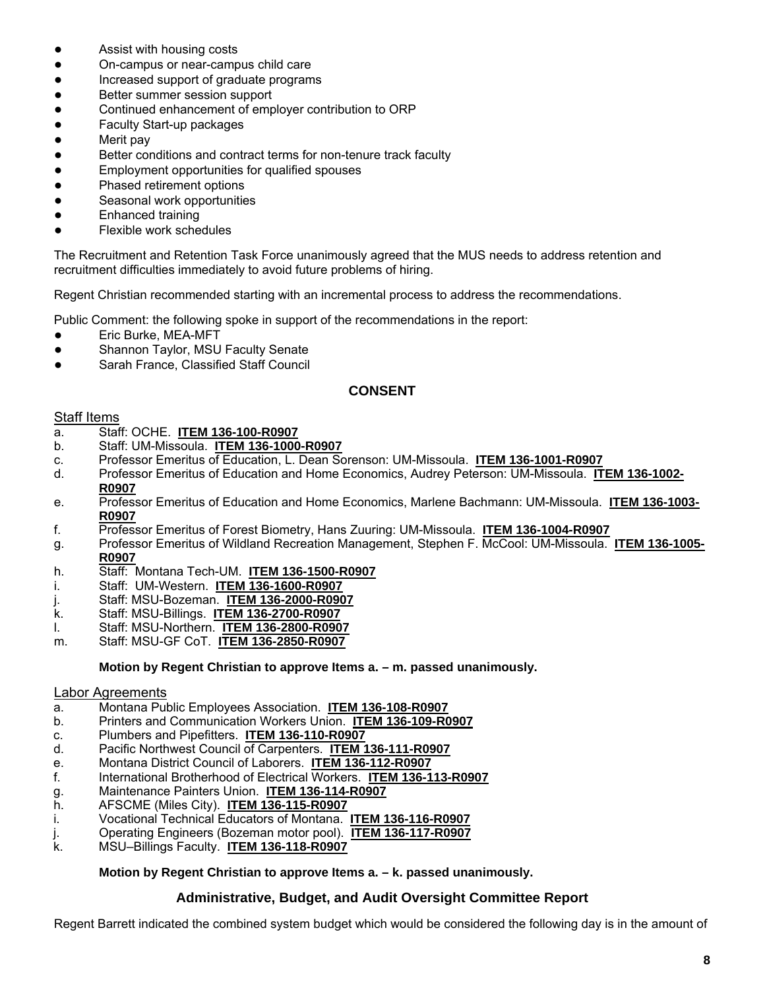- Assist with housing costs
- On-campus or near-campus child care
- Increased support of graduate programs
- Better summer session support
- Continued enhancement of employer contribution to ORP
- Faculty Start-up packages
- Merit pay
- Better conditions and contract terms for non-tenure track faculty
- Employment opportunities for qualified spouses
- Phased retirement options
- Seasonal work opportunities
- Enhanced training
- Flexible work schedules

The Recruitment and Retention Task Force unanimously agreed that the MUS needs to address retention and recruitment difficulties immediately to avoid future problems of hiring.

Regent Christian recommended starting with an incremental process to address the recommendations.

Public Comment: the following spoke in support of the recommendations in the report:

- Eric Burke, MEA-MFT
- Shannon Taylor, MSU Faculty Senate
- Sarah France, Classified Staff Council

# **CONSENT**

## Staff Items

- a. Staff: OCHE. **ITEM 136-100-R0907**
- b. Staff: UM-Missoula. **ITEM 136-1000-R0907**
- c. Professor Emeritus of Education, L. Dean Sorenson: UM-Missoula. **ITEM 136-1001-R0907**
- d. Professor Emeritus of Education and Home Economics, Audrey Peterson: UM-Missoula. **ITEM 136-1002- R0907**
- e. Professor Emeritus of Education and Home Economics, Marlene Bachmann: UM-Missoula. **ITEM 136-1003- R0907**
- f. Professor Emeritus of Forest Biometry, Hans Zuuring: UM-Missoula. **ITEM 136-1004-R0907**
- g. Professor Emeritus of Wildland Recreation Management, Stephen F. McCool: UM-Missoula. **ITEM 136-1005- R0907**
- h. Staff: Montana Tech-UM. **ITEM 136-1500-R0907**
- i. Staff: UM-Western. **ITEM 136-1600-R0907**
- j. Staff: MSU-Bozeman. **ITEM 136-2000-R0907**
- k. Staff: MSU-Billings. **ITEM 136-2700-R0907**
- l. Staff: MSU-Northern. **ITEM 136-2800-R0907**
- m. Staff: MSU-GF CoT. **ITEM 136-2850-R0907**

**Motion by Regent Christian to approve Items a. – m. passed unanimously.** 

## Labor Agreements

- a. Montana Public Employees Association. **ITEM 136-108-R0907**
- b. Printers and Communication Workers Union. **ITEM 136-109-R0907**
- c. Plumbers and Pipefitters. **ITEM 136-110-R0907**
- d. Pacific Northwest Council of Carpenters. **ITEM 136-111-R0907**
- e. Montana District Council of Laborers. **ITEM 136-112-R0907**
- f. International Brotherhood of Electrical Workers. **ITEM 136-113-R0907**
- g. Maintenance Painters Union. **ITEM 136-114-R0907**
- h. AFSCME (Miles City). **ITEM 136-115-R0907**
- i. Vocational Technical Educators of Montana. **ITEM 136-116-R0907**
- j. Operating Engineers (Bozeman motor pool). **ITEM 136-117-R0907**
- k. MSU–Billings Faculty. **ITEM 136-118-R0907**

# **Motion by Regent Christian to approve Items a. – k. passed unanimously.**

## **Administrative, Budget, and Audit Oversight Committee Report**

Regent Barrett indicated the combined system budget which would be considered the following day is in the amount of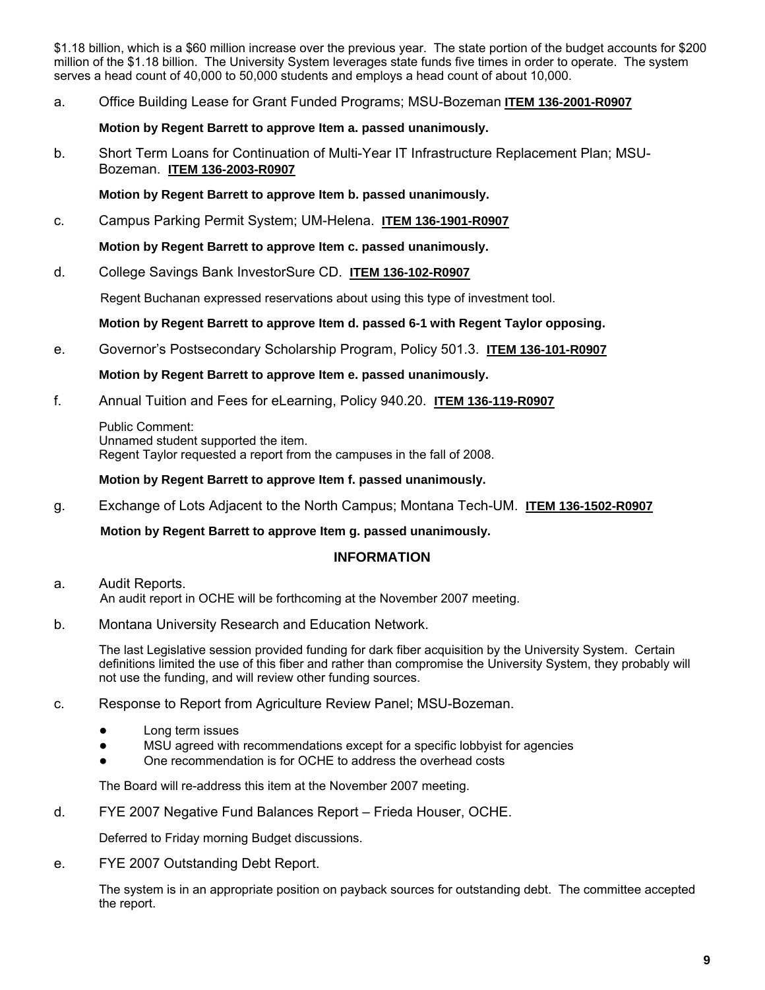\$1.18 billion, which is a \$60 million increase over the previous year. The state portion of the budget accounts for \$200 million of the \$1.18 billion. The University System leverages state funds five times in order to operate. The system serves a head count of 40,000 to 50,000 students and employs a head count of about 10,000.

a. Office Building Lease for Grant Funded Programs; MSU-Bozeman **ITEM 136-2001-R0907**

## **Motion by Regent Barrett to approve Item a. passed unanimously.**

b. Short Term Loans for Continuation of Multi-Year IT Infrastructure Replacement Plan; MSU-Bozeman. **ITEM 136-2003-R0907**

## **Motion by Regent Barrett to approve Item b. passed unanimously.**

c. Campus Parking Permit System; UM-Helena. **ITEM 136-1901-R0907**

## **Motion by Regent Barrett to approve Item c. passed unanimously.**

d. College Savings Bank InvestorSure CD. **ITEM 136-102-R0907**

Regent Buchanan expressed reservations about using this type of investment tool.

## **Motion by Regent Barrett to approve Item d. passed 6-1 with Regent Taylor opposing.**

e. Governor's Postsecondary Scholarship Program, Policy 501.3. **ITEM 136-101-R0907**

## **Motion by Regent Barrett to approve Item e. passed unanimously.**

f. Annual Tuition and Fees for eLearning, Policy 940.20. **ITEM 136-119-R0907**

Public Comment: Unnamed student supported the item. Regent Taylor requested a report from the campuses in the fall of 2008.

#### **Motion by Regent Barrett to approve Item f. passed unanimously.**

g. Exchange of Lots Adjacent to the North Campus; Montana Tech-UM. **ITEM 136-1502-R0907**

**Motion by Regent Barrett to approve Item g. passed unanimously.** 

## **INFORMATION**

- a. Audit Reports. An audit report in OCHE will be forthcoming at the November 2007 meeting.
- b. Montana University Research and Education Network.

The last Legislative session provided funding for dark fiber acquisition by the University System. Certain definitions limited the use of this fiber and rather than compromise the University System, they probably will not use the funding, and will review other funding sources.

- c. Response to Report from Agriculture Review Panel; MSU-Bozeman.
	- Long term issues
	- MSU agreed with recommendations except for a specific lobbyist for agencies
	- One recommendation is for OCHE to address the overhead costs

The Board will re-address this item at the November 2007 meeting.

d. FYE 2007 Negative Fund Balances Report – Frieda Houser, OCHE.

Deferred to Friday morning Budget discussions.

e. FYE 2007 Outstanding Debt Report.

The system is in an appropriate position on payback sources for outstanding debt. The committee accepted the report.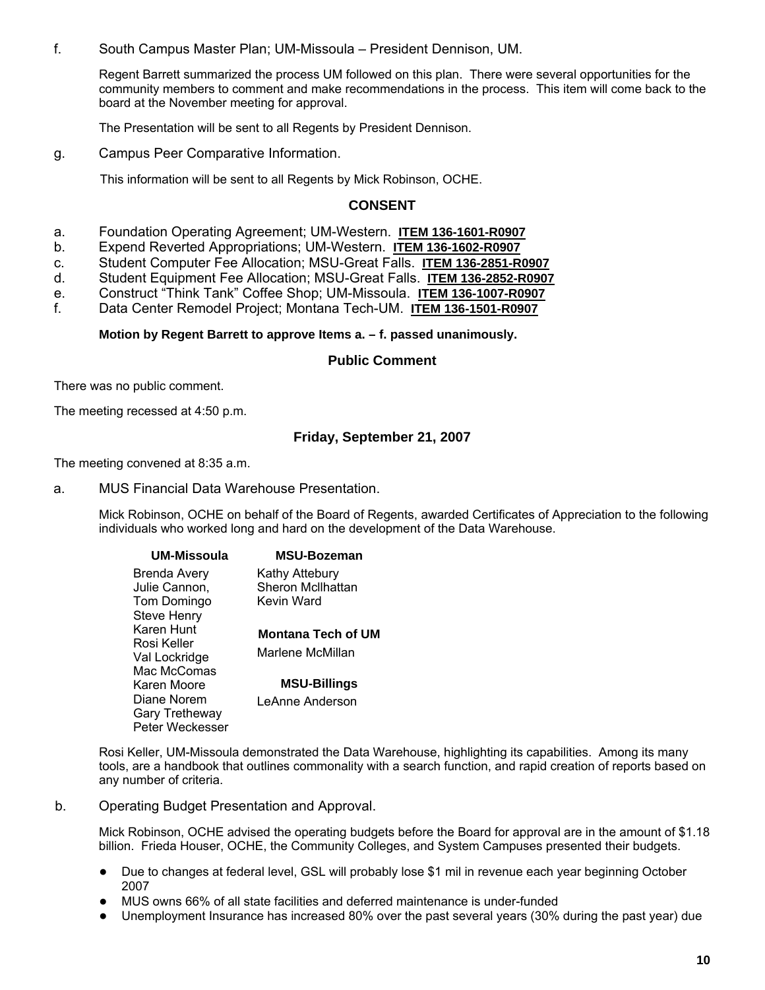f. South Campus Master Plan; UM-Missoula – President Dennison, UM.

Regent Barrett summarized the process UM followed on this plan. There were several opportunities for the community members to comment and make recommendations in the process. This item will come back to the board at the November meeting for approval.

The Presentation will be sent to all Regents by President Dennison.

g. Campus Peer Comparative Information.

This information will be sent to all Regents by Mick Robinson, OCHE.

#### **CONSENT**

- a. Foundation Operating Agreement; UM-Western. **ITEM 136-1601-R0907**
- b. Expend Reverted Appropriations; UM-Western. **ITEM 136-1602-R0907**
- c. Student Computer Fee Allocation; MSU-Great Falls. **ITEM 136-2851-R0907**
- d. Student Equipment Fee Allocation; MSU-Great Falls. **ITEM 136-2852-R0907**
- e. Construct "Think Tank" Coffee Shop; UM-Missoula. **ITEM 136-1007-R0907**
- f. Data Center Remodel Project; Montana Tech-UM. **ITEM 136-1501-R0907**

**Motion by Regent Barrett to approve Items a. – f. passed unanimously.** 

#### **Public Comment**

There was no public comment.

The meeting recessed at 4:50 p.m.

## **Friday, September 21, 2007**

The meeting convened at 8:35 a.m.

a. MUS Financial Data Warehouse Presentation.

Mick Robinson, OCHE on behalf of the Board of Regents, awarded Certificates of Appreciation to the following individuals who worked long and hard on the development of the Data Warehouse.

| <b>MSU-Bozeman</b>  |
|---------------------|
| Kathy Attebury      |
| Sheron McIlhattan   |
| Kevin Ward          |
|                     |
| Montana Tech of UM  |
|                     |
| Marlene McMillan    |
|                     |
| <b>MSU-Billings</b> |
| LeAnne Anderson     |
|                     |
|                     |
|                     |

Rosi Keller, UM-Missoula demonstrated the Data Warehouse, highlighting its capabilities. Among its many tools, are a handbook that outlines commonality with a search function, and rapid creation of reports based on any number of criteria.

b. Operating Budget Presentation and Approval.

Mick Robinson, OCHE advised the operating budgets before the Board for approval are in the amount of \$1.18 billion. Frieda Houser, OCHE, the Community Colleges, and System Campuses presented their budgets.

- Due to changes at federal level, GSL will probably lose \$1 mil in revenue each year beginning October 2007
- MUS owns 66% of all state facilities and deferred maintenance is under-funded
- Unemployment Insurance has increased 80% over the past several years (30% during the past year) due